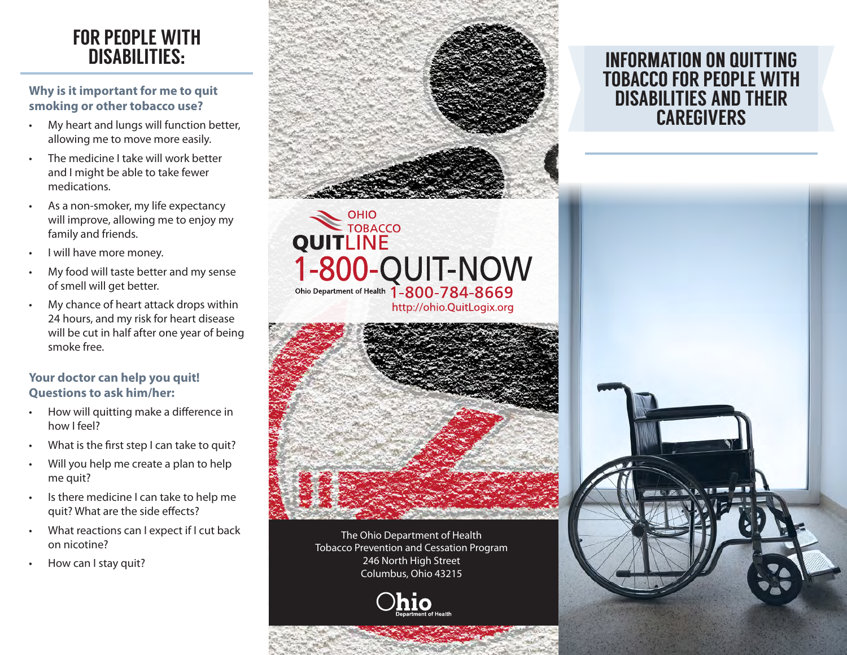## FOR PEOPLE WITH DISABILITIES:

**Why is it important for me to quit smoking or other tobacco use?**

- My heart and lungs will function better, allowing me to move more easily.
- The medicine I take will work better and I might be able to take fewer medications.
- As a non-smoker, my life expectancy will improve, allowing me to enjoy my family and friends.
- I will have more money.
- My food will taste better and my sense of smell will get better.
- My chance of heart attack drops within 24 hours, and my risk for heart disease will be cut in half after one year of being smoke free.

#### **Your doctor can help you quit! Questions to ask him/her:**

- How will quitting make a difference in how I feel?
- What is the first step I can take to quit?
- Will you help me create a plan to help me quit?
- Is there medicine I can take to help me quit? What are the side effects?
- What reactions can I expect if I cut back on nicotine?
- How can I stay quit?



# OHIO<br>TOBACCO **QUITLINE** 1-800-QUIT-NOW<br>Ohio Department of Health 1-800-784-8669 http://ohio.QuitLogix.org



The Ohio Department of Health Tobacco Prevention and Cessation Program 246 North High Street Columbus, Ohio 43215

### INFORMATION ON QUITTING TOBACCO FOR PEOPLE WITH DISABILITIES AND THEIR **CAREGIVERS**